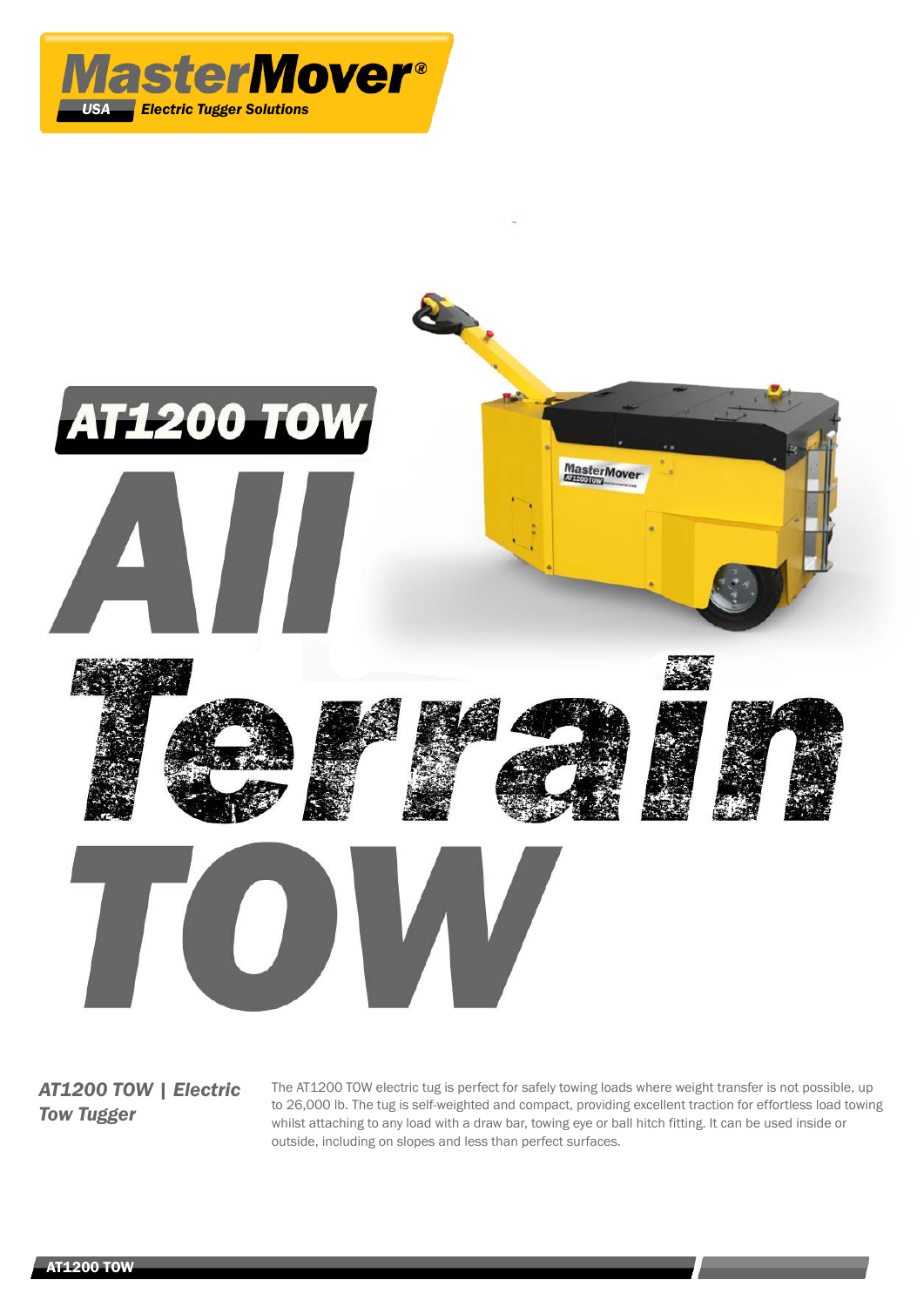



*AT1200 TOW | Electric Tow Tugger*

The AT1200 TOW electric tug is perfect for safely towing loads where weight transfer is not possible, up to 26,000 lb. The tug is self-weighted and compact, providing excellent traction for effortless load towing whilst attaching to any load with a draw bar, towing eye or ball hitch fitting. It can be used inside or outside, including on slopes and less than perfect surfaces.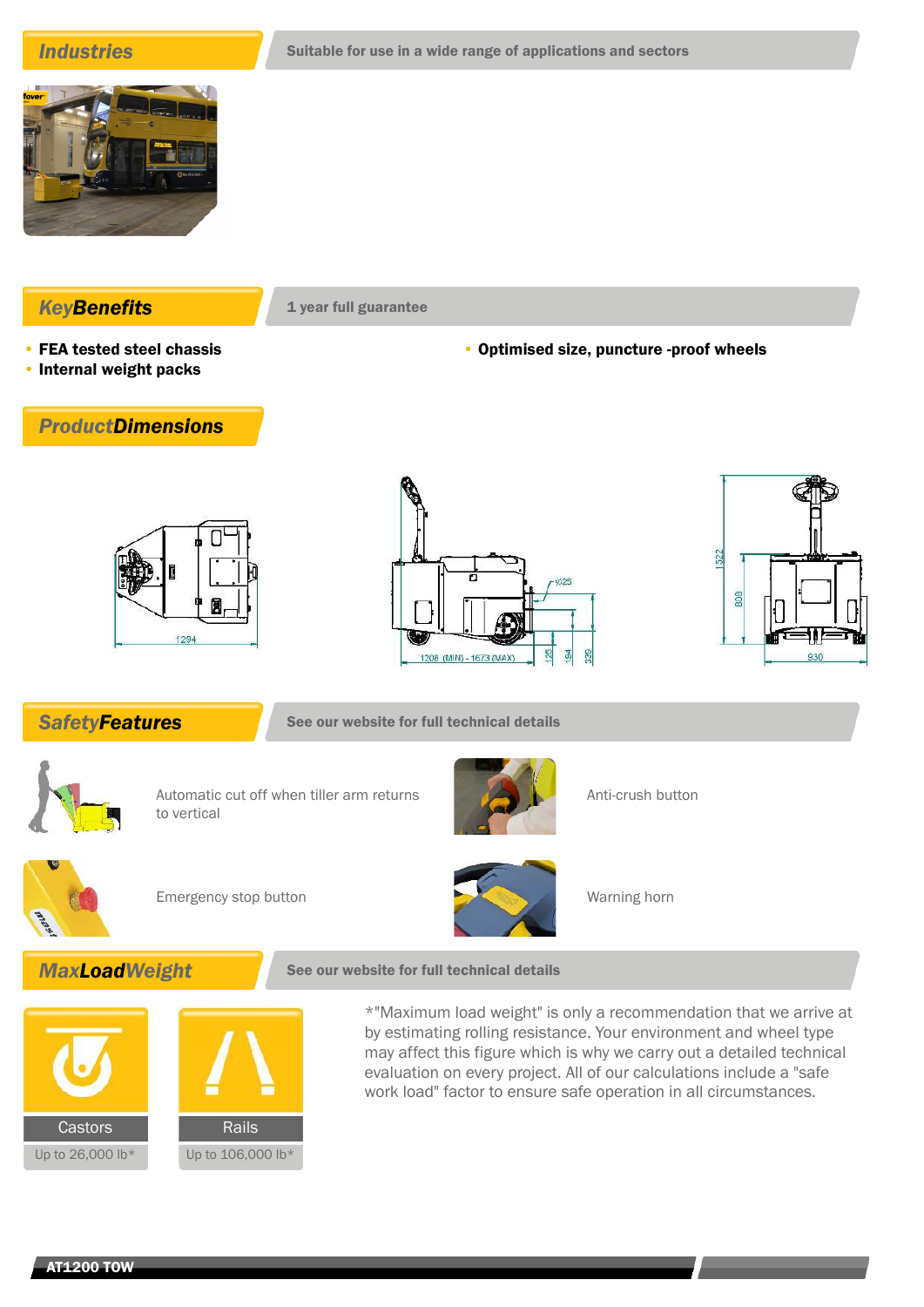

- **KeyBenefits** 1 year full guarantee
- FEA tested steel chassis • Internal weight packs

• Optimised size, puncture -proof wheels

# *ProductDimensions*







**SafetyFeatures** See our website for full technical details



Automatic cut off when tiller arm returns to vertical



Anti-crush button



Emergency stop button Warning horn



# **MaxLoadWeight** See our website for full technical details



\*"Maximum load weight" is only a recommendation that we arrive at by estimating rolling resistance. Your environment and wheel type may affect this figure which is why we carry out a detailed technical evaluation on every project. All of our calculations include a "safe work load" factor to ensure safe operation in all circumstances.

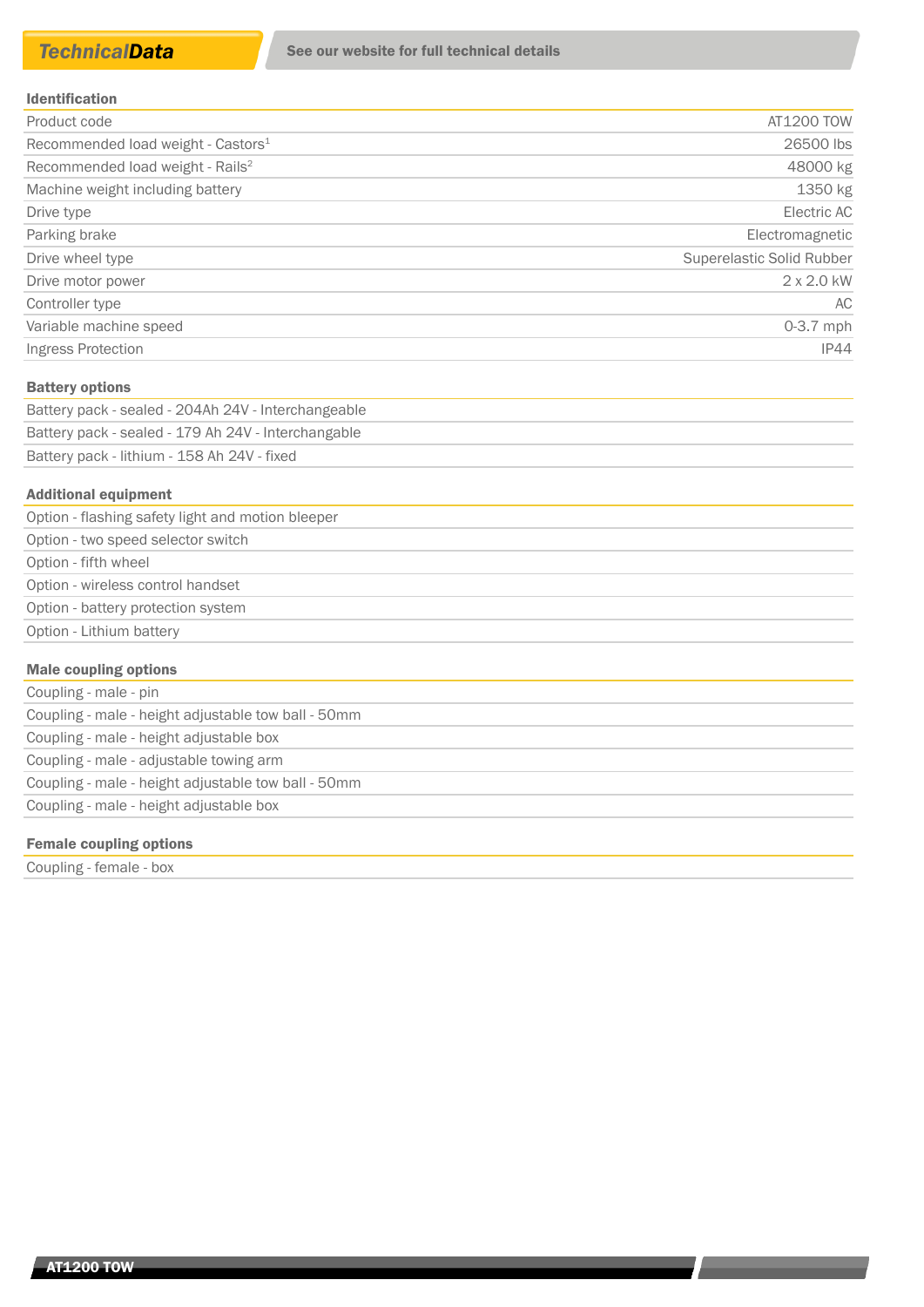| Product code                                   | AT1200 TOW                |
|------------------------------------------------|---------------------------|
| Recommended load weight - Castors <sup>1</sup> | 26500 lbs                 |
| Recommended load weight - Rails <sup>2</sup>   | 48000 kg                  |
| Machine weight including battery               | 1350 kg                   |
| Drive type                                     | Electric AC               |
| Parking brake                                  | Electromagnetic           |
| Drive wheel type                               | Superelastic Solid Rubber |
| Drive motor power                              | $2 \times 2.0$ kW         |
| Controller type                                | AC                        |
| Variable machine speed                         | $0-3.7$ mph               |
| Ingress Protection                             | <b>IP44</b>               |

### Battery options

| Battery pack - sealed - 204Ah 24V - Interchangeable |
|-----------------------------------------------------|
| Battery pack - sealed - 179 Ah 24V - Interchangable |
| Battery pack - lithium - 158 Ah 24V - fixed         |

### Additional equipment

| Option - flashing safety light and motion bleeper |  |
|---------------------------------------------------|--|
| Option - two speed selector switch                |  |
| Option - fifth wheel                              |  |
| Option - wireless control handset                 |  |
| Option - battery protection system                |  |
| Option - Lithium battery                          |  |
|                                                   |  |

## Male coupling options

| Coupling - male - pin                               |
|-----------------------------------------------------|
| Coupling - male - height adjustable tow ball - 50mm |
| Coupling - male - height adjustable box             |
| Coupling - male - adjustable towing arm             |
| Coupling - male - height adjustable tow ball - 50mm |
| Coupling - male - height adjustable box             |

## Female coupling options

Coupling - female - box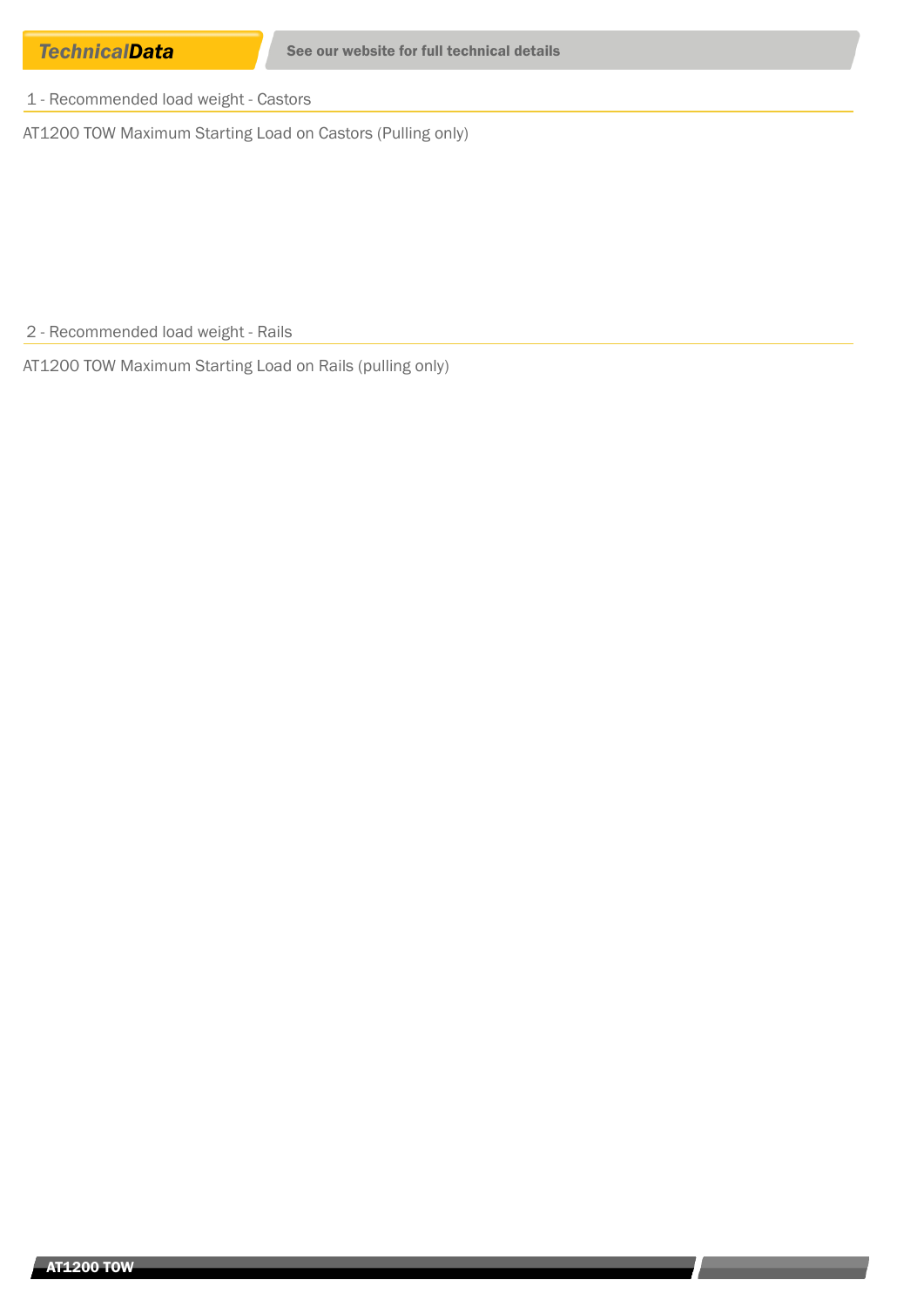1 - Recommended load weight - Castors

AT1200 TOW Maximum Starting Load on Castors (Pulling only)

2 - Recommended load weight - Rails

AT1200 TOW Maximum Starting Load on Rails (pulling only)